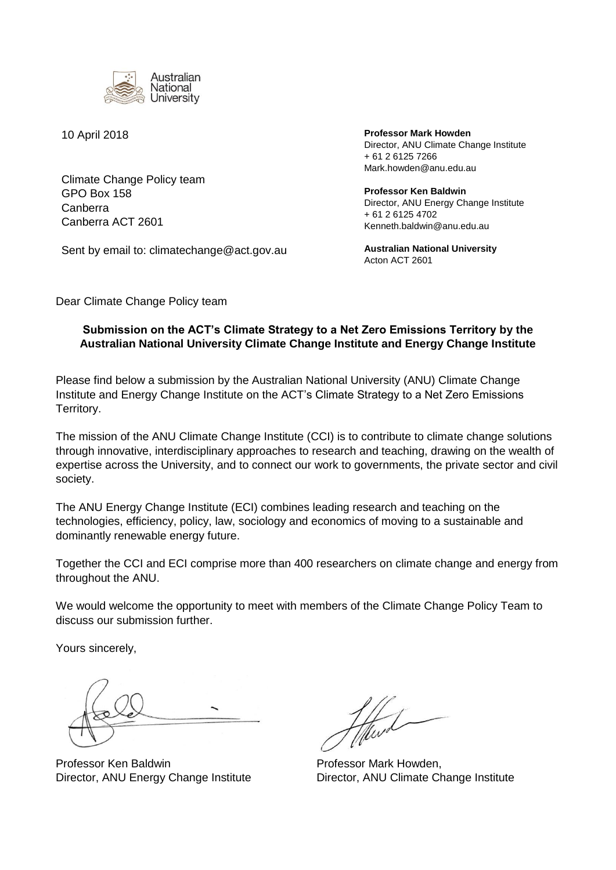

Climate Change Policy team GPO Box 158 Canberra Canberra ACT 2601

Sent by email to: climatechange@act.gov.au

10 April 2018 **Professor Mark Howden**  Director, ANU Climate Change Institute + 61 2 6125 7266 Mark.howden@anu.edu.au

> **Professor Ken Baldwin** Director, ANU Energy Change Institute + 61 2 6125 4702 Kenneth.baldwin@anu.edu.au

**Australian National University** Acton ACT 2601

Dear Climate Change Policy team

## **Submission on the ACT's Climate Strategy to a Net Zero Emissions Territory by the Australian National University Climate Change Institute and Energy Change Institute**

Please find below a submission by the Australian National University (ANU) Climate Change Institute and Energy Change Institute on the ACT's Climate Strategy to a Net Zero Emissions Territory.

The mission of the ANU Climate Change Institute (CCI) is to contribute to climate change solutions through innovative, interdisciplinary approaches to research and teaching, drawing on the wealth of expertise across the University, and to connect our work to governments, the private sector and civil society.

The ANU Energy Change Institute (ECI) combines leading research and teaching on the technologies, efficiency, policy, law, sociology and economics of moving to a sustainable and dominantly renewable energy future.

Together the CCI and ECI comprise more than 400 researchers on climate change and energy from throughout the ANU.

We would welcome the opportunity to meet with members of the Climate Change Policy Team to discuss our submission further.

Yours sincerely,

Professor Ken Baldwin **Professor Mark Howden**,

Director, ANU Energy Change Institute Director, ANU Climate Change Institute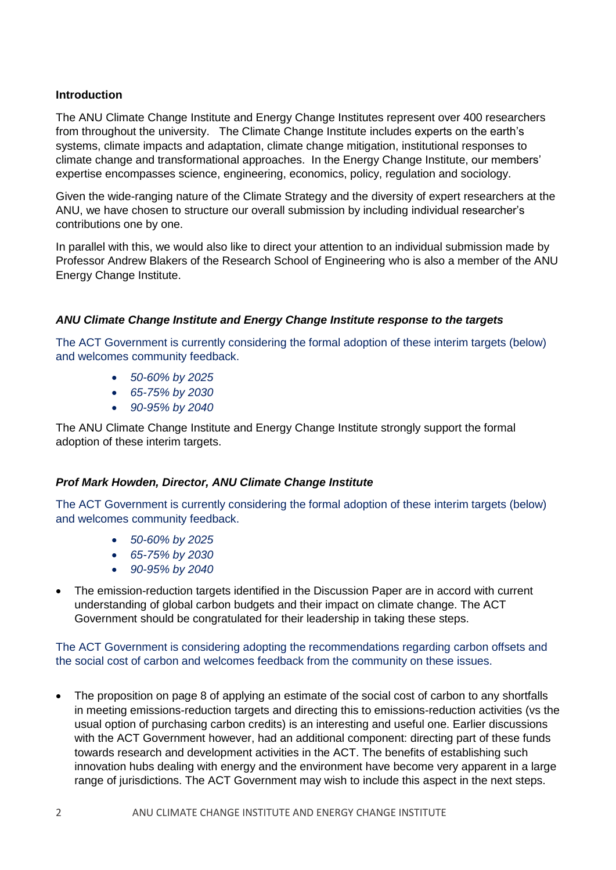## **Introduction**

The ANU Climate Change Institute and Energy Change Institutes represent over 400 researchers from throughout the university. The Climate Change Institute includes experts on the earth's systems, climate impacts and adaptation, climate change mitigation, institutional responses to climate change and transformational approaches. In the Energy Change Institute, our members' expertise encompasses science, engineering, economics, policy, regulation and sociology.

Given the wide-ranging nature of the Climate Strategy and the diversity of expert researchers at the ANU, we have chosen to structure our overall submission by including individual researcher's contributions one by one.

In parallel with this, we would also like to direct your attention to an individual submission made by Professor Andrew Blakers of the Research School of Engineering who is also a member of the ANU Energy Change Institute.

## *ANU Climate Change Institute and Energy Change Institute response to the targets*

The ACT Government is currently considering the formal adoption of these interim targets (below) and welcomes community feedback.

- *50-60% by 2025*
- *65-75% by 2030*
- *90-95% by 2040*

The ANU Climate Change Institute and Energy Change Institute strongly support the formal adoption of these interim targets.

## *Prof Mark Howden, Director, ANU Climate Change Institute*

The ACT Government is currently considering the formal adoption of these interim targets (below) and welcomes community feedback.

- *50-60% by 2025*
- *65-75% by 2030*
- *90-95% by 2040*
- The emission-reduction targets identified in the Discussion Paper are in accord with current understanding of global carbon budgets and their impact on climate change. The ACT Government should be congratulated for their leadership in taking these steps.

## The ACT Government is considering adopting the recommendations regarding carbon offsets and the social cost of carbon and welcomes feedback from the community on these issues.

 The proposition on page 8 of applying an estimate of the social cost of carbon to any shortfalls in meeting emissions-reduction targets and directing this to emissions-reduction activities (vs the usual option of purchasing carbon credits) is an interesting and useful one. Earlier discussions with the ACT Government however, had an additional component: directing part of these funds towards research and development activities in the ACT. The benefits of establishing such innovation hubs dealing with energy and the environment have become very apparent in a large range of jurisdictions. The ACT Government may wish to include this aspect in the next steps.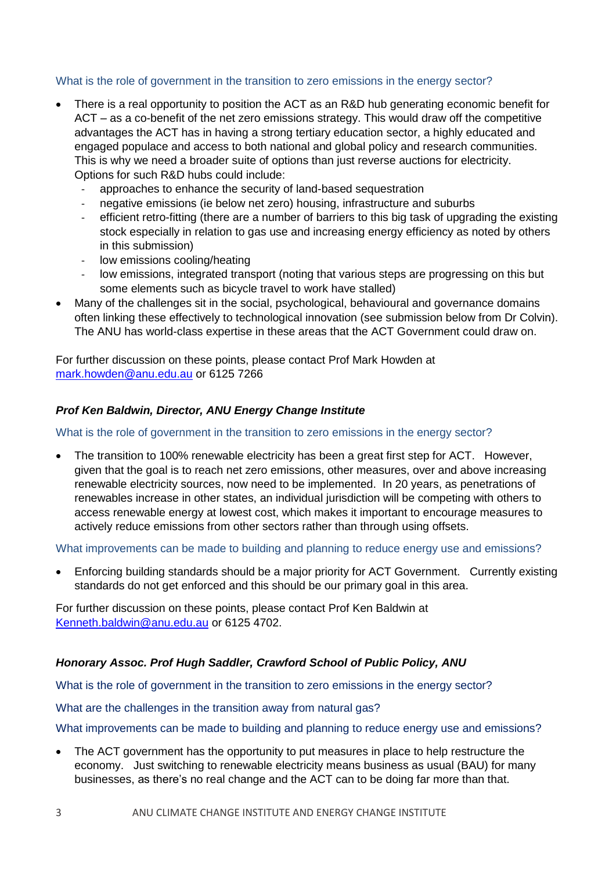## What is the role of government in the transition to zero emissions in the energy sector?

- There is a real opportunity to position the ACT as an R&D hub generating economic benefit for ACT – as a co-benefit of the net zero emissions strategy. This would draw off the competitive advantages the ACT has in having a strong tertiary education sector, a highly educated and engaged populace and access to both national and global policy and research communities. This is why we need a broader suite of options than just reverse auctions for electricity. Options for such R&D hubs could include:
	- approaches to enhance the security of land-based sequestration
	- negative emissions (ie below net zero) housing, infrastructure and suburbs
	- efficient retro-fitting (there are a number of barriers to this big task of upgrading the existing stock especially in relation to gas use and increasing energy efficiency as noted by others in this submission)
	- low emissions cooling/heating
	- low emissions, integrated transport (noting that various steps are progressing on this but some elements such as bicycle travel to work have stalled)
- Many of the challenges sit in the social, psychological, behavioural and governance domains often linking these effectively to technological innovation (see submission below from Dr Colvin). The ANU has world-class expertise in these areas that the ACT Government could draw on.

For further discussion on these points, please contact Prof Mark Howden at [mark.howden@anu.edu.au](mailto:mark.howden@anu.edu.au) or 6125 7266

## *Prof Ken Baldwin, Director, ANU Energy Change Institute*

#### What is the role of government in the transition to zero emissions in the energy sector?

 The transition to 100% renewable electricity has been a great first step for ACT. However, given that the goal is to reach net zero emissions, other measures, over and above increasing renewable electricity sources, now need to be implemented. In 20 years, as penetrations of renewables increase in other states, an individual jurisdiction will be competing with others to access renewable energy at lowest cost, which makes it important to encourage measures to actively reduce emissions from other sectors rather than through using offsets.

What improvements can be made to building and planning to reduce energy use and emissions?

 Enforcing building standards should be a major priority for ACT Government. Currently existing standards do not get enforced and this should be our primary goal in this area.

For further discussion on these points, please contact Prof Ken Baldwin at [Kenneth.baldwin@anu.edu.au](mailto:Kenneth.baldwin@anu.edu.au) or 6125 4702.

## *Honorary Assoc. Prof Hugh Saddler, Crawford School of Public Policy, ANU*

What is the role of government in the transition to zero emissions in the energy sector?

What are the challenges in the transition away from natural gas?

What improvements can be made to building and planning to reduce energy use and emissions?

 The ACT government has the opportunity to put measures in place to help restructure the economy. Just switching to renewable electricity means business as usual (BAU) for many businesses, as there's no real change and the ACT can to be doing far more than that.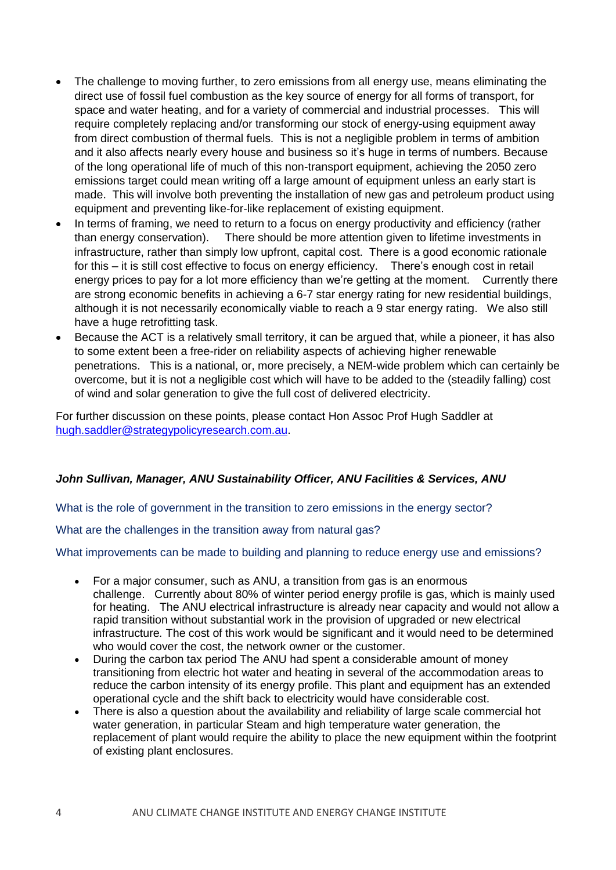- The challenge to moving further, to zero emissions from all energy use, means eliminating the direct use of fossil fuel combustion as the key source of energy for all forms of transport, for space and water heating, and for a variety of commercial and industrial processes. This will require completely replacing and/or transforming our stock of energy-using equipment away from direct combustion of thermal fuels. This is not a negligible problem in terms of ambition and it also affects nearly every house and business so it's huge in terms of numbers. Because of the long operational life of much of this non-transport equipment, achieving the 2050 zero emissions target could mean writing off a large amount of equipment unless an early start is made. This will involve both preventing the installation of new gas and petroleum product using equipment and preventing like-for-like replacement of existing equipment.
- In terms of framing, we need to return to a focus on energy productivity and efficiency (rather than energy conservation). There should be more attention given to lifetime investments in infrastructure, rather than simply low upfront, capital cost. There is a good economic rationale for this – it is still cost effective to focus on energy efficiency. There's enough cost in retail energy prices to pay for a lot more efficiency than we're getting at the moment. Currently there are strong economic benefits in achieving a 6-7 star energy rating for new residential buildings, although it is not necessarily economically viable to reach a 9 star energy rating. We also still have a huge retrofitting task.
- Because the ACT is a relatively small territory, it can be argued that, while a pioneer, it has also to some extent been a free-rider on reliability aspects of achieving higher renewable penetrations. This is a national, or, more precisely, a NEM-wide problem which can certainly be overcome, but it is not a negligible cost which will have to be added to the (steadily falling) cost of wind and solar generation to give the full cost of delivered electricity.

For further discussion on these points, please contact Hon Assoc Prof Hugh Saddler at [hugh.saddler@strategypolicyresearch.com.au.](mailto:hugh.saddler@strategypolicyresearch.com.au)

## *John Sullivan, Manager, ANU Sustainability Officer, ANU Facilities & Services, ANU*

What is the role of government in the transition to zero emissions in the energy sector?

What are the challenges in the transition away from natural gas?

## What improvements can be made to building and planning to reduce energy use and emissions?

- For a major consumer, such as ANU, a transition from gas is an enormous challenge. Currently about 80% of winter period energy profile is gas, which is mainly used for heating. The ANU electrical infrastructure is already near capacity and would not allow a rapid transition without substantial work in the provision of upgraded or new electrical infrastructure*.* The cost of this work would be significant and it would need to be determined who would cover the cost, the network owner or the customer.
- During the carbon tax period The ANU had spent a considerable amount of money transitioning from electric hot water and heating in several of the accommodation areas to reduce the carbon intensity of its energy profile. This plant and equipment has an extended operational cycle and the shift back to electricity would have considerable cost.
- There is also a question about the availability and reliability of large scale commercial hot water generation, in particular Steam and high temperature water generation, the replacement of plant would require the ability to place the new equipment within the footprint of existing plant enclosures.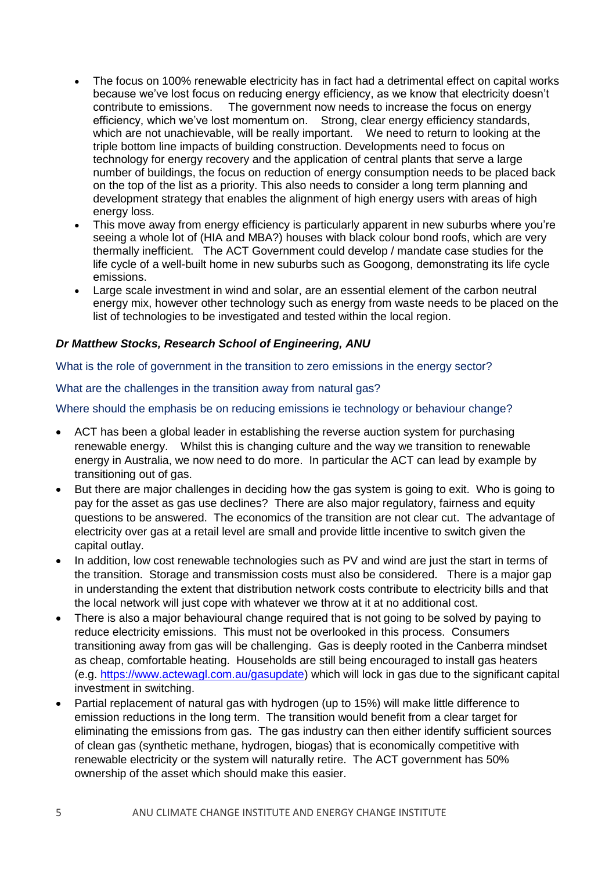- The focus on 100% renewable electricity has in fact had a detrimental effect on capital works because we've lost focus on reducing energy efficiency, as we know that electricity doesn't contribute to emissions. The government now needs to increase the focus on energy efficiency, which we've lost momentum on. Strong, clear energy efficiency standards, which are not unachievable, will be really important. We need to return to looking at the triple bottom line impacts of building construction. Developments need to focus on technology for energy recovery and the application of central plants that serve a large number of buildings, the focus on reduction of energy consumption needs to be placed back on the top of the list as a priority. This also needs to consider a long term planning and development strategy that enables the alignment of high energy users with areas of high energy loss.
- This move away from energy efficiency is particularly apparent in new suburbs where you're seeing a whole lot of (HIA and MBA?) houses with black colour bond roofs, which are very thermally inefficient. The ACT Government could develop / mandate case studies for the life cycle of a well-built home in new suburbs such as Googong, demonstrating its life cycle emissions.
- Large scale investment in wind and solar, are an essential element of the carbon neutral energy mix, however other technology such as energy from waste needs to be placed on the list of technologies to be investigated and tested within the local region.

## *Dr Matthew Stocks, Research School of Engineering, ANU*

What is the role of government in the transition to zero emissions in the energy sector?

#### What are the challenges in the transition away from natural gas?

#### Where should the emphasis be on reducing emissions ie technology or behaviour change?

- ACT has been a global leader in establishing the reverse auction system for purchasing renewable energy. Whilst this is changing culture and the way we transition to renewable energy in Australia, we now need to do more. In particular the ACT can lead by example by transitioning out of gas.
- But there are major challenges in deciding how the gas system is going to exit. Who is going to pay for the asset as gas use declines? There are also major regulatory, fairness and equity questions to be answered. The economics of the transition are not clear cut. The advantage of electricity over gas at a retail level are small and provide little incentive to switch given the capital outlay.
- In addition, low cost renewable technologies such as PV and wind are just the start in terms of the transition. Storage and transmission costs must also be considered. There is a major gap in understanding the extent that distribution network costs contribute to electricity bills and that the local network will just cope with whatever we throw at it at no additional cost.
- There is also a major behavioural change required that is not going to be solved by paying to reduce electricity emissions. This must not be overlooked in this process. Consumers transitioning away from gas will be challenging. Gas is deeply rooted in the Canberra mindset as cheap, comfortable heating. Households are still being encouraged to install gas heaters (e.g. [https://www.actewagl.com.au/gasupdate\)](https://www.actewagl.com.au/gasupdate) which will lock in gas due to the significant capital investment in switching.
- Partial replacement of natural gas with hydrogen (up to 15%) will make little difference to emission reductions in the long term. The transition would benefit from a clear target for eliminating the emissions from gas. The gas industry can then either identify sufficient sources of clean gas (synthetic methane, hydrogen, biogas) that is economically competitive with renewable electricity or the system will naturally retire. The ACT government has 50% ownership of the asset which should make this easier.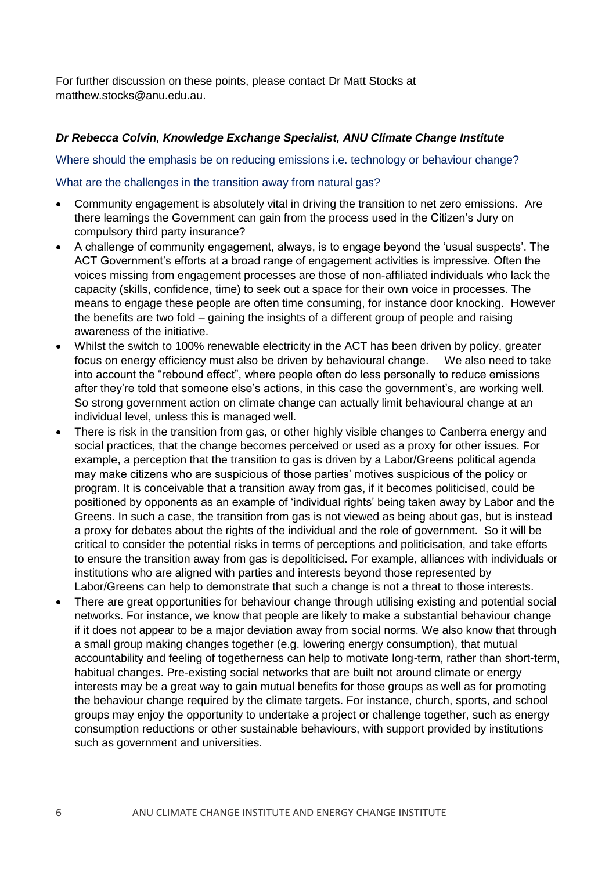For further discussion on these points, please contact Dr Matt Stocks at matthew.stocks@anu.edu.au.

## *Dr Rebecca Colvin, Knowledge Exchange Specialist, ANU Climate Change Institute*

#### Where should the emphasis be on reducing emissions i.e. technology or behaviour change?

### What are the challenges in the transition away from natural gas?

- Community engagement is absolutely vital in driving the transition to net zero emissions. Are there learnings the Government can gain from the process used in the Citizen's Jury on compulsory third party insurance?
- A challenge of community engagement, always, is to engage beyond the 'usual suspects'. The ACT Government's efforts at a broad range of engagement activities is impressive. Often the voices missing from engagement processes are those of non-affiliated individuals who lack the capacity (skills, confidence, time) to seek out a space for their own voice in processes. The means to engage these people are often time consuming, for instance door knocking. However the benefits are two fold – gaining the insights of a different group of people and raising awareness of the initiative.
- Whilst the switch to 100% renewable electricity in the ACT has been driven by policy, greater focus on energy efficiency must also be driven by behavioural change. We also need to take into account the "rebound effect", where people often do less personally to reduce emissions after they're told that someone else's actions, in this case the government's, are working well. So strong government action on climate change can actually limit behavioural change at an individual level, unless this is managed well.
- There is risk in the transition from gas, or other highly visible changes to Canberra energy and social practices, that the change becomes perceived or used as a proxy for other issues. For example, a perception that the transition to gas is driven by a Labor/Greens political agenda may make citizens who are suspicious of those parties' motives suspicious of the policy or program. It is conceivable that a transition away from gas, if it becomes politicised, could be positioned by opponents as an example of 'individual rights' being taken away by Labor and the Greens. In such a case, the transition from gas is not viewed as being about gas, but is instead a proxy for debates about the rights of the individual and the role of government. So it will be critical to consider the potential risks in terms of perceptions and politicisation, and take efforts to ensure the transition away from gas is depoliticised. For example, alliances with individuals or institutions who are aligned with parties and interests beyond those represented by Labor/Greens can help to demonstrate that such a change is not a threat to those interests.
- There are great opportunities for behaviour change through utilising existing and potential social networks. For instance, we know that people are likely to make a substantial behaviour change if it does not appear to be a major deviation away from social norms. We also know that through a small group making changes together (e.g. lowering energy consumption), that mutual accountability and feeling of togetherness can help to motivate long-term, rather than short-term, habitual changes. Pre-existing social networks that are built not around climate or energy interests may be a great way to gain mutual benefits for those groups as well as for promoting the behaviour change required by the climate targets. For instance, church, sports, and school groups may enjoy the opportunity to undertake a project or challenge together, such as energy consumption reductions or other sustainable behaviours, with support provided by institutions such as government and universities.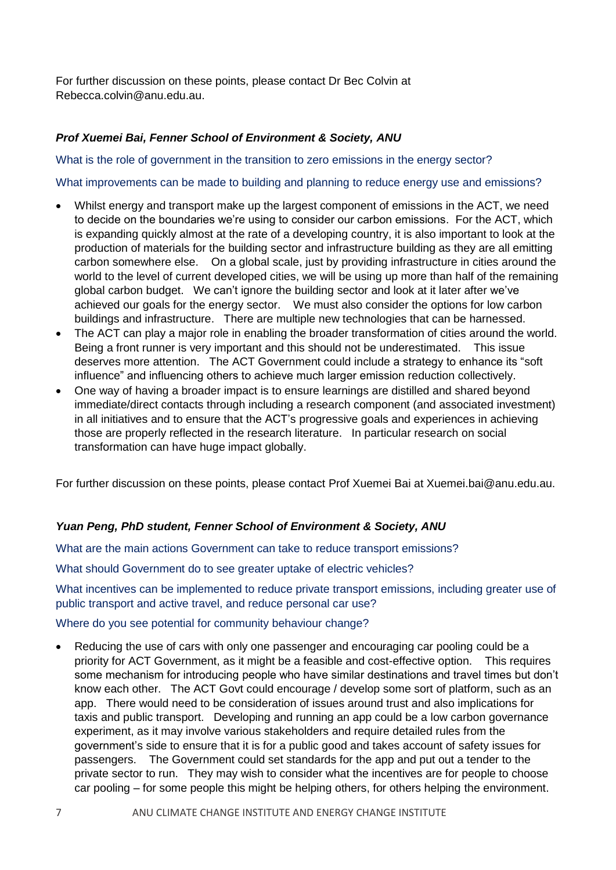For further discussion on these points, please contact Dr Bec Colvin at Rebecca.colvin@anu.edu.au.

## *Prof Xuemei Bai, Fenner School of Environment & Society, ANU*

What is the role of government in the transition to zero emissions in the energy sector?

What improvements can be made to building and planning to reduce energy use and emissions?

- Whilst energy and transport make up the largest component of emissions in the ACT, we need to decide on the boundaries we're using to consider our carbon emissions. For the ACT, which is expanding quickly almost at the rate of a developing country, it is also important to look at the production of materials for the building sector and infrastructure building as they are all emitting carbon somewhere else. On a global scale, just by providing infrastructure in cities around the world to the level of current developed cities, we will be using up more than half of the remaining global carbon budget. We can't ignore the building sector and look at it later after we've achieved our goals for the energy sector. We must also consider the options for low carbon buildings and infrastructure. There are multiple new technologies that can be harnessed.
- The ACT can play a major role in enabling the broader transformation of cities around the world. Being a front runner is very important and this should not be underestimated. This issue deserves more attention. The ACT Government could include a strategy to enhance its "soft influence" and influencing others to achieve much larger emission reduction collectively.
- One way of having a broader impact is to ensure learnings are distilled and shared beyond immediate/direct contacts through including a research component (and associated investment) in all initiatives and to ensure that the ACT's progressive goals and experiences in achieving those are properly reflected in the research literature. In particular research on social transformation can have huge impact globally.

For further discussion on these points, please contact Prof Xuemei Bai at Xuemei.bai@anu.edu.au.

# *Yuan Peng, PhD student, Fenner School of Environment & Society, ANU*

What are the main actions Government can take to reduce transport emissions?

What should Government do to see greater uptake of electric vehicles?

What incentives can be implemented to reduce private transport emissions, including greater use of public transport and active travel, and reduce personal car use?

Where do you see potential for community behaviour change?

 Reducing the use of cars with only one passenger and encouraging car pooling could be a priority for ACT Government, as it might be a feasible and cost-effective option. This requires some mechanism for introducing people who have similar destinations and travel times but don't know each other. The ACT Govt could encourage / develop some sort of platform, such as an app. There would need to be consideration of issues around trust and also implications for taxis and public transport. Developing and running an app could be a low carbon governance experiment, as it may involve various stakeholders and require detailed rules from the government's side to ensure that it is for a public good and takes account of safety issues for passengers. The Government could set standards for the app and put out a tender to the private sector to run. They may wish to consider what the incentives are for people to choose car pooling – for some people this might be helping others, for others helping the environment.